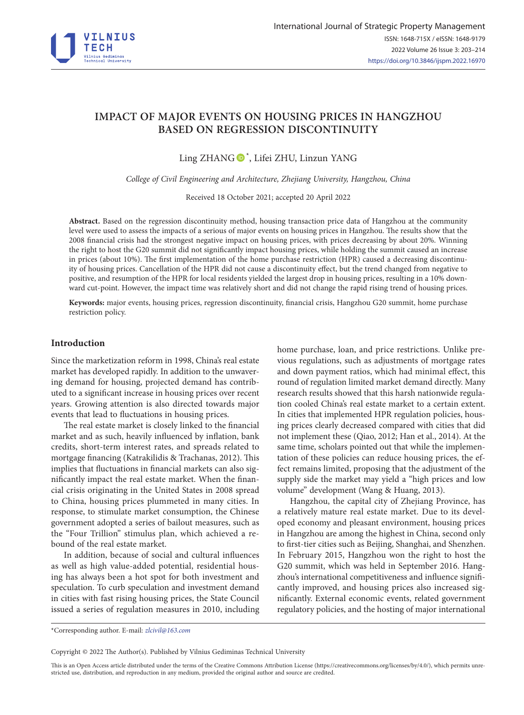

# **IMPACT OF MAJOR EVENTS ON HOUSING PRICES IN HANGZHOU BASED ON REGRESSION DISCONTINUITY**

Ling ZHANG  $\bullet$ <sup>\*</sup>, Lifei ZHU, Linzun YANG

*College of Civil Engineering and Architecture, Zhejiang University, Hangzhou, China*

Received 18 October 2021; accepted 20 April 2022

**Abstract.** Based on the regression discontinuity method, housing transaction price data of Hangzhou at the community level were used to assess the impacts of a serious of major events on housing prices in Hangzhou. The results show that the 2008 financial crisis had the strongest negative impact on housing prices, with prices decreasing by about 20%. Winning the right to host the G20 summit did not significantly impact housing prices, while holding the summit caused an increase in prices (about 10%). The first implementation of the home purchase restriction (HPR) caused a decreasing discontinuity of housing prices. Cancellation of the HPR did not cause a discontinuity effect, but the trend changed from negative to positive, and resumption of the HPR for local residents yielded the largest drop in housing prices, resulting in a 10% downward cut-point. However, the impact time was relatively short and did not change the rapid rising trend of housing prices.

**Keywords:** major events, housing prices, regression discontinuity, financial crisis, Hangzhou G20 summit, home purchase restriction policy.

#### **Introduction**

Since the marketization reform in 1998, China's real estate market has developed rapidly. In addition to the unwavering demand for housing, projected demand has contributed to a significant increase in housing prices over recent years. Growing attention is also directed towards major events that lead to fluctuations in housing prices.

The real estate market is closely linked to the financial market and as such, heavily influenced by inflation, bank credits, short-term interest rates, and spreads related to mortgage financing (Katrakilidis & Trachanas, 2012). This implies that fluctuations in financial markets can also significantly impact the real estate market. When the financial crisis originating in the United States in 2008 spread to China, housing prices plummeted in many cities. In response, to stimulate market consumption, the Chinese government adopted a series of bailout measures, such as the "Four Trillion" stimulus plan, which achieved a rebound of the real estate market.

In addition, because of social and cultural influences as well as high value-added potential, residential housing has always been a hot spot for both investment and speculation. To curb speculation and investment demand in cities with fast rising housing prices, the State Council issued a series of regulation measures in 2010, including home purchase, loan, and price restrictions. Unlike previous regulations, such as adjustments of mortgage rates and down payment ratios, which had minimal effect, this round of regulation limited market demand directly. Many research results showed that this harsh nationwide regulation cooled China's real estate market to a certain extent. In cities that implemented HPR regulation policies, housing prices clearly decreased compared with cities that did not implement these (Qiao, 2012; Han et al., 2014). At the same time, scholars pointed out that while the implementation of these policies can reduce housing prices, the effect remains limited, proposing that the adjustment of the supply side the market may yield a "high prices and low volume" development (Wang & Huang, 2013).

Hangzhou, the capital city of Zhejiang Province, has a relatively mature real estate market. Due to its developed economy and pleasant environment, housing prices in Hangzhou are among the highest in China, second only to first-tier cities such as Beijing, Shanghai, and Shenzhen. In February 2015, Hangzhou won the right to host the G20 summit, which was held in September 2016. Hangzhou's international competitiveness and influence significantly improved, and housing prices also increased significantly. External economic events, related government regulatory policies, and the hosting of major international

\*Corresponding author. E-mail: *zlcivil@163.com*

Copyright © 2022 The Author(s). Published by Vilnius Gediminas Technical University

This is an Open Access article distributed under the terms of the Creative Commons Attribution License [\(https://creativecommons.org/licenses/by/4.0/\)](http://creativecommons.org/licenses/by/4.0/), which permits unrestricted use, distribution, and reproduction in any medium, provided the original author and source are credited.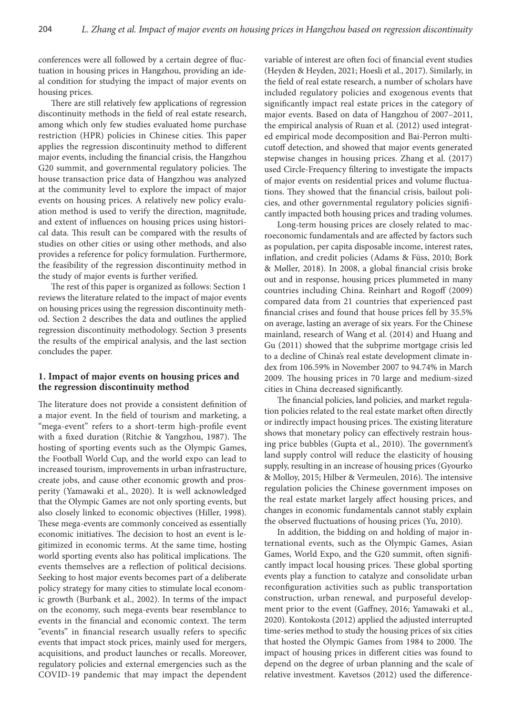conferences were all followed by a certain degree of fluctuation in housing prices in Hangzhou, providing an ideal condition for studying the impact of major events on housing prices.

There are still relatively few applications of regression discontinuity methods in the field of real estate research, among which only few studies evaluated home purchase restriction (HPR) policies in Chinese cities. This paper applies the regression discontinuity method to different major events, including the financial crisis, the Hangzhou G20 summit, and governmental regulatory policies. The house transaction price data of Hangzhou was analyzed at the community level to explore the impact of major events on housing prices. A relatively new policy evaluation method is used to verify the direction, magnitude, and extent of influences on housing prices using historical data. This result can be compared with the results of studies on other cities or using other methods, and also provides a reference for policy formulation. Furthermore, the feasibility of the regression discontinuity method in the study of major events is further verified.

The rest of this paper is organized as follows: Section 1 reviews the literature related to the impact of major events on housing prices using the regression discontinuity method. Section 2 describes the data and outlines the applied regression discontinuity methodology. Section 3 presents the results of the empirical analysis, and the last section concludes the paper.

# **1. Impact of major events on housing prices and the regression discontinuity method**

The literature does not provide a consistent definition of a major event. In the field of tourism and marketing, a "mega-event" refers to a short-term high-profile event with a fixed duration (Ritchie & Yangzhou, 1987). The hosting of sporting events such as the Olympic Games, the Football World Cup, and the world expo can lead to increased tourism, improvements in urban infrastructure, create jobs, and cause other economic growth and prosperity (Yamawaki et al., 2020). It is well acknowledged that the Olympic Games are not only sporting events, but also closely linked to economic objectives (Hiller, 1998). These mega-events are commonly conceived as essentially economic initiatives. The decision to host an event is legitimized in economic terms. At the same time, hosting world sporting events also has political implications. The events themselves are a reflection of political decisions. Seeking to host major events becomes part of a deliberate policy strategy for many cities to stimulate local economic growth (Burbank et al., 2002). In terms of the impact on the economy, such mega-events bear resemblance to events in the financial and economic context. The term "events" in financial research usually refers to specific events that impact stock prices, mainly used for mergers, acquisitions, and product launches or recalls. Moreover, regulatory policies and external emergencies such as the COVID-19 pandemic that may impact the dependent

variable of interest are often foci of financial event studies (Heyden & Heyden, 2021; Hoesli et al., 2017). Similarly, in the field of real estate research, a number of scholars have included regulatory policies and exogenous events that significantly impact real estate prices in the category of major events. Based on data of Hangzhou of 2007–2011, the empirical analysis of Ruan et al. (2012) used integrated empirical mode decomposition and Bai-Perron multicutoff detection, and showed that major events generated stepwise changes in housing prices. Zhang et al. (2017) used Circle-Frequency filtering to investigate the impacts of major events on residential prices and volume fluctuations. They showed that the financial crisis, bailout policies, and other governmental regulatory policies significantly impacted both housing prices and trading volumes.

Long-term housing prices are closely related to macroeconomic fundamentals and are affected by factors such as population, per capita disposable income, interest rates, inflation, and credit policies (Adams & Füss, 2010; Bork & Møller, 2018). In 2008, a global financial crisis broke out and in response, housing prices plummeted in many countries including China. Reinhart and Rogoff (2009) compared data from 21 countries that experienced past financial crises and found that house prices fell by 35.5% on average, lasting an average of six years. For the Chinese mainland, research of Wang et al. (2014) and Huang and Gu (2011) showed that the subprime mortgage crisis led to a decline of China's real estate development climate index from 106.59% in November 2007 to 94.74% in March 2009. The housing prices in 70 large and medium-sized cities in China decreased significantly.

The financial policies, land policies, and market regulation policies related to the real estate market often directly or indirectly impact housing prices. The existing literature shows that monetary policy can effectively restrain housing price bubbles (Gupta et al., 2010). The government's land supply control will reduce the elasticity of housing supply, resulting in an increase of housing prices (Gyourko & Molloy, 2015; Hilber & Vermeulen, 2016). The intensive regulation policies the Chinese government imposes on the real estate market largely affect housing prices, and changes in economic fundamentals cannot stably explain the observed fluctuations of housing prices (Yu, 2010).

In addition, the bidding on and holding of major international events, such as the Olympic Games, Asian Games, World Expo, and the G20 summit, often significantly impact local housing prices. These global sporting events play a function to catalyze and consolidate urban reconfiguration activities such as public transportation construction, urban renewal, and purposeful development prior to the event (Gaffney, 2016; Yamawaki et al., 2020). Kontokosta (2012) applied the adjusted interrupted time-series method to study the housing prices of six cities that hosted the Olympic Games from 1984 to 2000. The impact of housing prices in different cities was found to depend on the degree of urban planning and the scale of relative investment. Kavetsos (2012) used the difference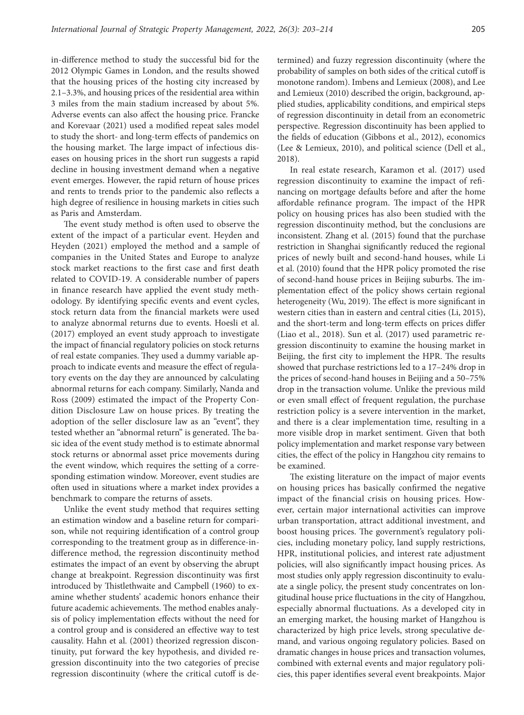in-difference method to study the successful bid for the 2012 Olympic Games in London, and the results showed that the housing prices of the hosting city increased by 2.1–3.3%, and housing prices of the residential area within 3 miles from the main stadium increased by about 5%. Adverse events can also affect the housing price. Francke and Korevaar (2021) used a modified repeat sales model to study the short- and long-term effects of pandemics on the housing market. The large impact of infectious diseases on housing prices in the short run suggests a rapid decline in housing investment demand when a negative event emerges. However, the rapid return of house prices and rents to trends prior to the pandemic also reflects a high degree of resilience in housing markets in cities such as Paris and Amsterdam.

The event study method is often used to observe the extent of the impact of a particular event. Heyden and Heyden (2021) employed the method and a sample of companies in the United States and Europe to analyze stock market reactions to the first case and first death related to COVID-19. A considerable number of papers in finance research have applied the event study methodology. By identifying specific events and event cycles, stock return data from the financial markets were used to analyze abnormal returns due to events. Hoesli et al. (2017) employed an event study approach to investigate the impact of financial regulatory policies on stock returns of real estate companies. They used a dummy variable approach to indicate events and measure the effect of regulatory events on the day they are announced by calculating abnormal returns for each company. Similarly, Nanda and Ross (2009) estimated the impact of the Property Condition Disclosure Law on house prices. By treating the adoption of the seller disclosure law as an "event", they tested whether an "abnormal return" is generated. The basic idea of the event study method is to estimate abnormal stock returns or abnormal asset price movements during the event window, which requires the setting of a corresponding estimation window. Moreover, event studies are often used in situations where a market index provides a benchmark to compare the returns of assets.

Unlike the event study method that requires setting an estimation window and a baseline return for comparison, while not requiring identification of a control group corresponding to the treatment group as in difference-indifference method, the regression discontinuity method estimates the impact of an event by observing the abrupt change at breakpoint. Regression discontinuity was first introduced by Thistlethwaite and Campbell (1960) to examine whether students' academic honors enhance their future academic achievements. The method enables analysis of policy implementation effects without the need for a control group and is considered an effective way to test causality. Hahn et al. (2001) theorized regression discontinuity, put forward the key hypothesis, and divided regression discontinuity into the two categories of precise regression discontinuity (where the critical cutoff is determined) and fuzzy regression discontinuity (where the probability of samples on both sides of the critical cutoff is monotone random). Imbens and Lemieux (2008), and Lee and Lemieux (2010) described the origin, background, applied studies, applicability conditions, and empirical steps of regression discontinuity in detail from an econometric perspective. Regression discontinuity has been applied to the fields of education (Gibbons et al., 2012), economics (Lee & Lemieux, 2010), and political science (Dell et al., 2018).

In real estate research, Karamon et al. (2017) used regression discontinuity to examine the impact of refinancing on mortgage defaults before and after the home affordable refinance program. The impact of the HPR policy on housing prices has also been studied with the regression discontinuity method, but the conclusions are inconsistent. Zhang et al. (2015) found that the purchase restriction in Shanghai significantly reduced the regional prices of newly built and second-hand houses, while Li et al. (2010) found that the HPR policy promoted the rise of second-hand house prices in Beijing suburbs. The implementation effect of the policy shows certain regional heterogeneity (Wu, 2019). The effect is more significant in western cities than in eastern and central cities (Li, 2015), and the short-term and long-term effects on prices differ (Liao et al., 2018). Sun et al. (2017) used parametric regression discontinuity to examine the housing market in Beijing, the first city to implement the HPR. The results showed that purchase restrictions led to a 17–24% drop in the prices of second-hand houses in Beijing and a 50–75% drop in the transaction volume. Unlike the previous mild or even small effect of frequent regulation, the purchase restriction policy is a severe intervention in the market, and there is a clear implementation time, resulting in a more visible drop in market sentiment. Given that both policy implementation and market response vary between cities, the effect of the policy in Hangzhou city remains to be examined.

The existing literature on the impact of major events on housing prices has basically confirmed the negative impact of the financial crisis on housing prices. However, certain major international activities can improve urban transportation, attract additional investment, and boost housing prices. The government's regulatory policies, including monetary policy, land supply restrictions, HPR, institutional policies, and interest rate adjustment policies, will also significantly impact housing prices. As most studies only apply regression discontinuity to evaluate a single policy, the present study concentrates on longitudinal house price fluctuations in the city of Hangzhou, especially abnormal fluctuations. As a developed city in an emerging market, the housing market of Hangzhou is characterized by high price levels, strong speculative demand, and various ongoing regulatory policies. Based on dramatic changes in house prices and transaction volumes, combined with external events and major regulatory policies, this paper identifies several event breakpoints. Major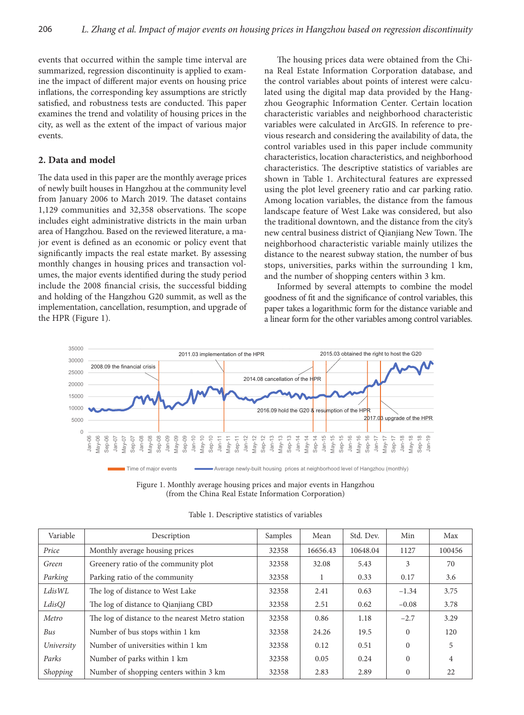events that occurred within the sample time interval are summarized, regression discontinuity is applied to examine the impact of different major events on housing price inflations, the corresponding key assumptions are strictly satisfied, and robustness tests are conducted. This paper examines the trend and volatility of housing prices in the city, as well as the extent of the impact of various major events.

## **2. Data and model**

The data used in this paper are the monthly average prices of newly built houses in Hangzhou at the community level from January 2006 to March 2019. The dataset contains 1,129 communities and 32,358 observations. The scope includes eight administrative districts in the main urban area of Hangzhou. Based on the reviewed literature, a major event is defined as an economic or policy event that significantly impacts the real estate market. By assessing monthly changes in housing prices and transaction volumes, the major events identified during the study period include the 2008 financial crisis, the successful bidding and holding of the Hangzhou G20 summit, as well as the implementation, cancellation, resumption, and upgrade of the HPR (Figure 1).

The housing prices data were obtained from the China Real Estate Information Corporation database, and the control variables about points of interest were calculated using the digital map data provided by the Hangzhou Geographic Information Center. Certain location characteristic variables and neighborhood characteristic variables were calculated in ArcGIS. In reference to previous research and considering the availability of data, the control variables used in this paper include community characteristics, location characteristics, and neighborhood characteristics. The descriptive statistics of variables are shown in Table 1. Architectural features are expressed using the plot level greenery ratio and car parking ratio. Among location variables, the distance from the famous landscape feature of West Lake was considered, but also the traditional downtown, and the distance from the city's new central business district of Qianjiang New Town. The neighborhood characteristic variable mainly utilizes the distance to the nearest subway station, the number of bus stops, universities, parks within the surrounding 1 km, and the number of shopping centers within 3 km.

Informed by several attempts to combine the model goodness of fit and the significance of control variables, this paper takes a logarithmic form for the distance variable and a linear form for the other variables among control variables.



Figure 1. Monthly average housing prices and major events in Hangzhou (from the China Real Estate Information Corporation)

| Variable   | Description                                      | Samples | Mean     | Std. Dev. | Min      | Max    |
|------------|--------------------------------------------------|---------|----------|-----------|----------|--------|
| Price      | Monthly average housing prices                   | 32358   | 16656.43 | 10648.04  | 1127     | 100456 |
| Green      | Greenery ratio of the community plot             | 32358   | 32.08    | 5.43      | 3        | 70     |
| Parking    | Parking ratio of the community                   | 32358   |          | 0.33      | 0.17     | 3.6    |
| LdisWL     | The log of distance to West Lake                 | 32358   | 2.41     | 0.63      | $-1.34$  | 3.75   |
| LdisQJ     | The log of distance to Qianjiang CBD             | 32358   | 2.51     | 0.62      | $-0.08$  | 3.78   |
| Metro      | The log of distance to the nearest Metro station | 32358   | 0.86     | 1.18      | $-2.7$   | 3.29   |
| Bus        | Number of bus stops within 1 km                  | 32358   | 24.26    | 19.5      | $\Omega$ | 120    |
| University | Number of universities within 1 km               | 32358   | 0.12     | 0.51      | $\Omega$ | 5      |
| Parks      | Number of parks within 1 km                      | 32358   | 0.05     | 0.24      | $\Omega$ | 4      |
| Shopping   | Number of shopping centers within 3 km           | 32358   | 2.83     | 2.89      | $\Omega$ | 22     |

Table 1. Descriptive statistics of variables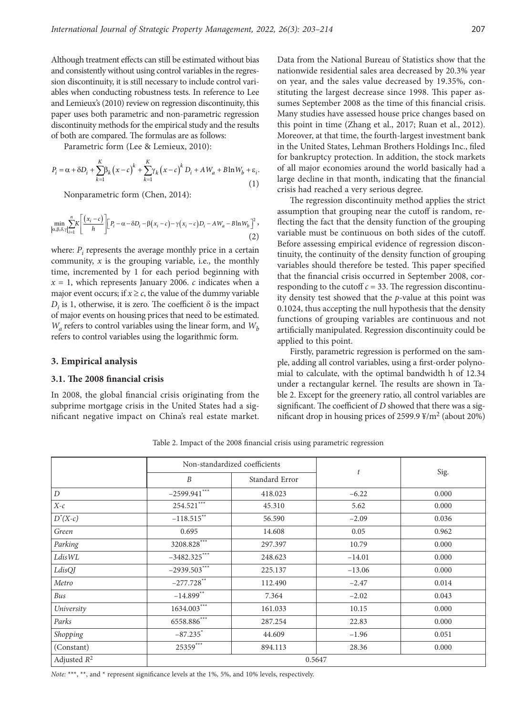Although treatment effects can still be estimated without bias and consistently without using control variables in the regression discontinuity, it is still necessary to include control variables when conducting robustness tests. In reference to Lee and Lemieux's (2010) review on regression discontinuity, this paper uses both parametric and non-parametric regression discontinuity methods for the empirical study and the results of both are compared. The formulas are as follows:

Parametric form (Lee & Lemieux, 2010):

$$
P_i = \alpha + \delta D_i + \sum_{k=1}^{K} \beta_k (x - c)^k + \sum_{k=1}^{K} \gamma_k (x - c)^k D_i + AW_a + B \ln W_b + \varepsilon_i.
$$
\n(1)

Nonparametric form (Chen, 2014):

$$
\min_{[\alpha,\beta,\delta,\gamma]} \sum_{i=1}^{n} K \left[ \frac{(x_i - c)}{h} \right] \left[ P_i - \alpha - \delta D_i - \beta (x_i - c) - \gamma (x_i - c) D_i - A W_a - B \ln W_b \right]^2, \tag{2}
$$

where:  $P_i$  represents the average monthly price in a certain community, *x* is the grouping variable, i.e., the monthly time, incremented by 1 for each period beginning with  $x = 1$ , which represents January 2006. *c* indicates when a major event occurs; if  $x \ge c$ , the value of the dummy variable  $D_i$  is 1, otherwise, it is zero. The coefficient  $\delta$  is the impact of major events on housing prices that need to be estimated.  $W_a$  refers to control variables using the linear form, and  $W_b$ refers to control variables using the logarithmic form.

#### **3. Empirical analysis**

## **3.1. The 2008 financial crisis**

In 2008, the global financial crisis originating from the subprime mortgage crisis in the United States had a significant negative impact on China's real estate market.

Data from the National Bureau of Statistics show that the nationwide residential sales area decreased by 20.3% year on year, and the sales value decreased by 19.35%, constituting the largest decrease since 1998. This paper assumes September 2008 as the time of this financial crisis. Many studies have assessed house price changes based on this point in time (Zhang et al., 2017; Ruan et al., 2012). Moreover, at that time, the fourth-largest investment bank in the United States, Lehman Brothers Holdings Inc., filed for bankruptcy protection. In addition, the stock markets of all major economies around the world basically had a large decline in that month, indicating that the financial crisis had reached a very serious degree.

The regression discontinuity method applies the strict assumption that grouping near the cutoff is random, reflecting the fact that the density function of the grouping variable must be continuous on both sides of the cutoff. Before assessing empirical evidence of regression discontinuity, the continuity of the density function of grouping variables should therefore be tested. This paper specified that the financial crisis occurred in September 2008, corresponding to the cutoff  $c = 33$ . The regression discontinuity density test showed that the *p*-value at this point was 0.1024, thus accepting the null hypothesis that the density functions of grouping variables are continuous and not artificially manipulated. Regression discontinuity could be applied to this point.

Firstly, parametric regression is performed on the sample, adding all control variables, using a first-order polynomial to calculate, with the optimal bandwidth h of 12.34 under a rectangular kernel. The results are shown in Table 2. Except for the greenery ratio, all control variables are significant. The coefficient of *D* showed that there was a significant drop in housing prices of 2599.9  $\frac{1}{2}$ /m<sup>2</sup> (about 20%)

|                  |                  | Non-standardized coefficients |                  |       |  |  |
|------------------|------------------|-------------------------------|------------------|-------|--|--|
|                  | $\boldsymbol{B}$ | Standard Error                | $\boldsymbol{t}$ | Sig.  |  |  |
| $\boldsymbol{D}$ | $-2599.941***$   | 418.023                       | $-6.22$          | 0.000 |  |  |
| $X-c$            | 254.521***       | 45.310                        | 5.62             | 0.000 |  |  |
| $D^*(X-c)$       | $-118.515***$    | 56.590                        | $-2.09$          | 0.036 |  |  |
| Green            | 0.695            | 14.608                        | 0.05             | 0.962 |  |  |
| Parking          | 3208.828***      | 297.397                       | 10.79            | 0.000 |  |  |
| Ldis WL          | $-3482.325***$   | 248.623                       | $-14.01$         | 0.000 |  |  |
| LdisQJ           | $-2939.503***$   | 225.137                       | $-13.06$         | 0.000 |  |  |
| Metro            | $-277.728$ **    | 112.490                       | $-2.47$          | 0.014 |  |  |
| Bus              | $-14.899**$      | 7.364                         | $-2.02$          | 0.043 |  |  |
| University       | $1634.003***$    | 161.033                       | 10.15            | 0.000 |  |  |
| Parks            | $6558.886***$    | 287.254                       | 22.83            | 0.000 |  |  |
| Shopping         | $-87.235$ *      | 44.609                        | $-1.96$          | 0.051 |  |  |
| (Constant)       | $25359***$       | 894.113                       | 28.36            | 0.000 |  |  |
| Adjusted $R^2$   |                  | 0.5647                        |                  |       |  |  |

Table 2. Impact of the 2008 financial crisis using parametric regression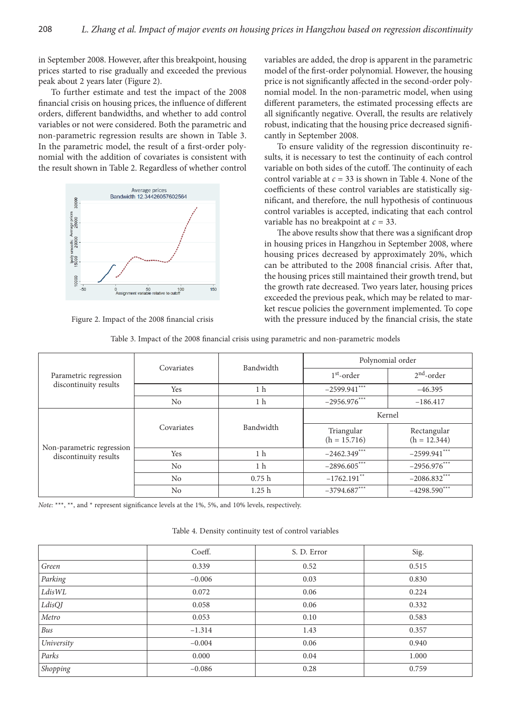in September 2008. However, after this breakpoint, housing prices started to rise gradually and exceeded the previous peak about 2 years later (Figure 2).

To further estimate and test the impact of the 2008 financial crisis on housing prices, the influence of different orders, different bandwidths, and whether to add control variables or not were considered. Both the parametric and non-parametric regression results are shown in Table 3. In the parametric model, the result of a first-order polynomial with the addition of covariates is consistent with the result shown in Table 2. Regardless of whether control



Figure 2. Impact of the 2008 financial crisis

variables are added, the drop is apparent in the parametric model of the first-order polynomial. However, the housing price is not significantly affected in the second-order polynomial model. In the non-parametric model, when using different parameters, the estimated processing effects are all significantly negative. Overall, the results are relatively robust, indicating that the housing price decreased significantly in September 2008.

To ensure validity of the regression discontinuity results, it is necessary to test the continuity of each control variable on both sides of the cutoff. The continuity of each control variable at  $c = 33$  is shown in Table 4. None of the coefficients of these control variables are statistically significant, and therefore, the null hypothesis of continuous control variables is accepted, indicating that each control variable has no breakpoint at *c* = 33.

The above results show that there was a significant drop in housing prices in Hangzhou in September 2008, where housing prices decreased by approximately 20%, which can be attributed to the 2008 financial crisis. After that, the housing prices still maintained their growth trend, but the growth rate decreased. Two years later, housing prices exceeded the previous peak, which may be related to market rescue policies the government implemented. To cope with the pressure induced by the financial crisis, the state

|  | Table 3. Impact of the 2008 financial crisis using parametric and non-parametric models |  |
|--|-----------------------------------------------------------------------------------------|--|
|  |                                                                                         |  |

|                                                    | Covariates | Bandwidth         | Polynomial order             |                               |  |  |
|----------------------------------------------------|------------|-------------------|------------------------------|-------------------------------|--|--|
| Parametric regression                              |            |                   | $1st$ -order                 | $2nd$ -order                  |  |  |
| discontinuity results                              | Yes        | 1 <sub>h</sub>    | $-2599.941***$               | $-46.395$                     |  |  |
|                                                    | No         | 1 h               | $-2956.976***$               | $-186.417$                    |  |  |
|                                                    |            |                   | Kernel                       |                               |  |  |
|                                                    | Covariates | Bandwidth         | Triangular<br>$(h = 15.716)$ | Rectangular<br>$(h = 12.344)$ |  |  |
| Non-parametric regression<br>discontinuity results | Yes        | 1 <sub>h</sub>    | $-2462.349***$               | $-2599.941***$                |  |  |
|                                                    | No         | 1 <sub>h</sub>    | $-2896.605***$               | $-2956.976***$                |  |  |
|                                                    | No         | 0.75h             | $-1762.191$ **               | $-2086.832***$                |  |  |
|                                                    | No         | 1.25 <sub>h</sub> | $-3794.687***$               | $-4298.590***$                |  |  |

Table 4. Density continuity test of control variables

|            | Coeff.   | S. D. Error | Sig.  |
|------------|----------|-------------|-------|
| Green      | 0.339    | 0.52        | 0.515 |
| Parking    | $-0.006$ | 0.03        | 0.830 |
| LdisWL     | 0.072    | 0.06        | 0.224 |
| $LdisQ\!J$ | 0.058    | 0.06        | 0.332 |
| Metro      | 0.053    | 0.10        | 0.583 |
| Bus        | $-1.314$ | 1.43        | 0.357 |
| University | $-0.004$ | 0.06        | 0.940 |
| Parks      | 0.000    | 0.04        | 1.000 |
| Shopping   | $-0.086$ | 0.28        | 0.759 |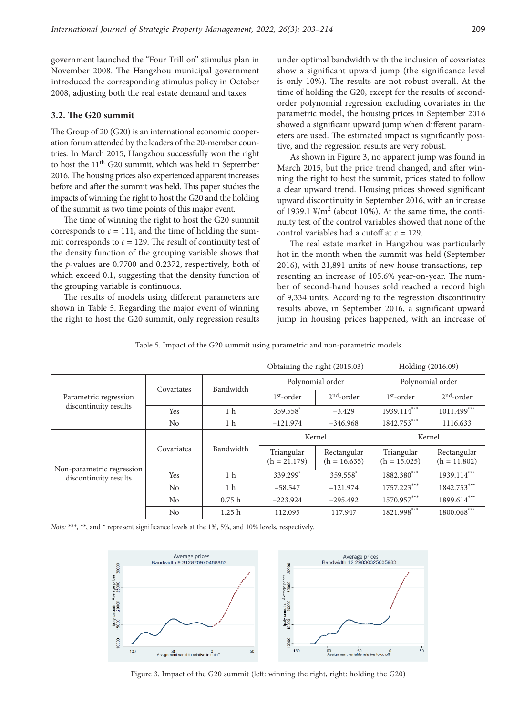government launched the "Four Trillion" stimulus plan in November 2008. The Hangzhou municipal government introduced the corresponding stimulus policy in October 2008, adjusting both the real estate demand and taxes.

## **3.2. The G20 summit**

The Group of 20 (G20) is an international economic cooperation forum attended by the leaders of the 20-member countries. In March 2015, Hangzhou successfully won the right to host the 11th G20 summit, which was held in September 2016. The housing prices also experienced apparent increases before and after the summit was held. This paper studies the impacts of winning the right to host the G20 and the holding of the summit as two time points of this major event.

The time of winning the right to host the G20 summit corresponds to  $c = 111$ , and the time of holding the summit corresponds to  $c = 129$ . The result of continuity test of the density function of the grouping variable shows that the *p*-values are 0.7700 and 0.2372, respectively, both of which exceed 0.1, suggesting that the density function of the grouping variable is continuous.

The results of models using different parameters are shown in Table 5. Regarding the major event of winning the right to host the G20 summit, only regression results under optimal bandwidth with the inclusion of covariates show a significant upward jump (the significance level is only 10%). The results are not robust overall. At the time of holding the G20, except for the results of secondorder polynomial regression excluding covariates in the parametric model, the housing prices in September 2016 showed a significant upward jump when different parameters are used. The estimated impact is significantly positive, and the regression results are very robust.

As shown in Figure 3, no apparent jump was found in March 2015, but the price trend changed, and after winning the right to host the summit, prices stated to follow a clear upward trend. Housing prices showed significant upward discontinuity in September 2016, with an increase of 1939.1  $\frac{1}{2}$ /m<sup>2</sup> (about 10%). At the same time, the continuity test of the control variables showed that none of the control variables had a cutoff at *c* = 129.

The real estate market in Hangzhou was particularly hot in the month when the summit was held (September 2016), with 21,891 units of new house transactions, representing an increase of 105.6% year-on-year. The number of second-hand houses sold reached a record high of 9,334 units. According to the regression discontinuity results above, in September 2016, a significant upward jump in housing prices happened, with an increase of

|  | Table 5. Impact of the G20 summit using parametric and non-parametric models |  |
|--|------------------------------------------------------------------------------|--|
|  |                                                                              |  |

|                           | Obtaining the right (2015.03) |                | Holding (2016.09)            |                               |                              |                               |
|---------------------------|-------------------------------|----------------|------------------------------|-------------------------------|------------------------------|-------------------------------|
|                           |                               |                | Polynomial order             |                               | Polynomial order             |                               |
| Parametric regression     | Covariates                    | Bandwidth      | $1st$ -order                 | $2nd$ -order                  | $1st$ -order                 | $2nd$ -order                  |
| discontinuity results     | Yes                           | 1 <sub>h</sub> | 359.558 <sup>*</sup>         | $-3.429$                      | $1939.114***$                | $1011.499***$                 |
|                           | No                            | 1 <sub>h</sub> | $-121.974$                   | $-346.968$                    | 1842.753***                  | 1116.633                      |
|                           | Covariates                    | Bandwidth      | Kernel                       |                               | Kernel                       |                               |
| Non-parametric regression |                               |                | Triangular<br>$(h = 21.179)$ | Rectangular<br>$(h = 16.635)$ | Triangular<br>$(h = 15.025)$ | Rectangular<br>$(h = 11.802)$ |
| discontinuity results     | Yes                           | 1 <sub>h</sub> | 339.299*                     | 359.558*                      | 1882.380***                  | 1939.114***                   |
|                           | N <sub>o</sub>                | 1 <sub>h</sub> | $-58.547$                    | $-121.974$                    | 1757.223***                  | 1842.753***                   |
|                           | No                            | 0.75h          | $-223.924$                   | $-295.492$                    | 1570.957***                  | 1899.614***                   |
|                           | N <sub>0</sub>                | 1.25h          | 112.095                      | 117.947                       | 1821.998***                  | $1800.068***$                 |



Figure 3. Impact of the G20 summit (left: winning the right, right: holding the G20)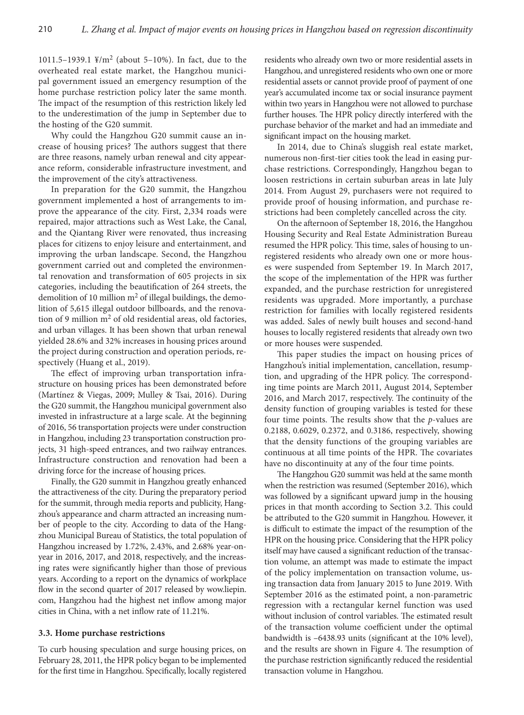1011.5–1939.1  $\frac{y}{m^2}$  (about 5–10%). In fact, due to the overheated real estate market, the Hangzhou municipal government issued an emergency resumption of the home purchase restriction policy later the same month. The impact of the resumption of this restriction likely led to the underestimation of the jump in September due to the hosting of the G20 summit.

Why could the Hangzhou G20 summit cause an increase of housing prices? The authors suggest that there are three reasons, namely urban renewal and city appearance reform, considerable infrastructure investment, and the improvement of the city's attractiveness.

In preparation for the G20 summit, the Hangzhou government implemented a host of arrangements to improve the appearance of the city. First, 2,334 roads were repaired, major attractions such as West Lake, the Canal, and the Qiantang River were renovated, thus increasing places for citizens to enjoy leisure and entertainment, and improving the urban landscape. Second, the Hangzhou government carried out and completed the environmental renovation and transformation of 605 projects in six categories, including the beautification of 264 streets, the demolition of 10 million  $m<sup>2</sup>$  of illegal buildings, the demolition of 5,615 illegal outdoor billboards, and the renovation of 9 million  $m<sup>2</sup>$  of old residential areas, old factories, and urban villages. It has been shown that urban renewal yielded 28.6% and 32% increases in housing prices around the project during construction and operation periods, respectively (Huang et al., 2019).

The effect of improving urban transportation infrastructure on housing prices has been demonstrated before (Martínez & Viegas, 2009; Mulley & Tsai, 2016). During the G20 summit, the Hangzhou municipal government also invested in infrastructure at a large scale. At the beginning of 2016, 56 transportation projects were under construction in Hangzhou, including 23 transportation construction projects, 31 high-speed entrances, and two railway entrances. Infrastructure construction and renovation had been a driving force for the increase of housing prices.

Finally, the G20 summit in Hangzhou greatly enhanced the attractiveness of the city. During the preparatory period for the summit, through media reports and publicity, Hangzhou's appearance and charm attracted an increasing number of people to the city. According to data of the Hangzhou Municipal Bureau of Statistics, the total population of Hangzhou increased by 1.72%, 2.43%, and 2.68% year-onyear in 2016, 2017, and 2018, respectively, and the increasing rates were significantly higher than those of previous years. According to a report on the dynamics of workplace flow in the second quarter of 2017 released by wow.liepin. com, Hangzhou had the highest net inflow among major cities in China, with a net inflow rate of 11.21%.

## **3.3. Home purchase restrictions**

To curb housing speculation and surge housing prices, on February 28, 2011, the HPR policy began to be implemented for the first time in Hangzhou. Specifically, locally registered

residents who already own two or more residential assets in Hangzhou, and unregistered residents who own one or more residential assets or cannot provide proof of payment of one year's accumulated income tax or social insurance payment within two years in Hangzhou were not allowed to purchase further houses. The HPR policy directly interfered with the purchase behavior of the market and had an immediate and significant impact on the housing market.

In 2014, due to China's sluggish real estate market, numerous non-first-tier cities took the lead in easing purchase restrictions. Correspondingly, Hangzhou began to loosen restrictions in certain suburban areas in late July 2014. From August 29, purchasers were not required to provide proof of housing information, and purchase restrictions had been completely cancelled across the city.

On the afternoon of September 18, 2016, the Hangzhou Housing Security and Real Estate Administration Bureau resumed the HPR policy. This time, sales of housing to unregistered residents who already own one or more houses were suspended from September 19. In March 2017, the scope of the implementation of the HPR was further expanded, and the purchase restriction for unregistered residents was upgraded. More importantly, a purchase restriction for families with locally registered residents was added. Sales of newly built houses and second-hand houses to locally registered residents that already own two or more houses were suspended.

This paper studies the impact on housing prices of Hangzhou's initial implementation, cancellation, resumption, and upgrading of the HPR policy. The corresponding time points are March 2011, August 2014, September 2016, and March 2017, respectively. The continuity of the density function of grouping variables is tested for these four time points. The results show that the *p*-values are 0.2188, 0.6029, 0.2372, and 0.3186, respectively, showing that the density functions of the grouping variables are continuous at all time points of the HPR. The covariates have no discontinuity at any of the four time points.

The Hangzhou G20 summit was held at the same month when the restriction was resumed (September 2016), which was followed by a significant upward jump in the housing prices in that month according to Section 3.2. This could be attributed to the G20 summit in Hangzhou. However, it is difficult to estimate the impact of the resumption of the HPR on the housing price. Considering that the HPR policy itself may have caused a significant reduction of the transaction volume, an attempt was made to estimate the impact of the policy implementation on transaction volume, using transaction data from January 2015 to June 2019. With September 2016 as the estimated point, a non-parametric regression with a rectangular kernel function was used without inclusion of control variables. The estimated result of the transaction volume coefficient under the optimal bandwidth is –6438.93 units (significant at the 10% level), and the results are shown in Figure 4. The resumption of the purchase restriction significantly reduced the residential transaction volume in Hangzhou.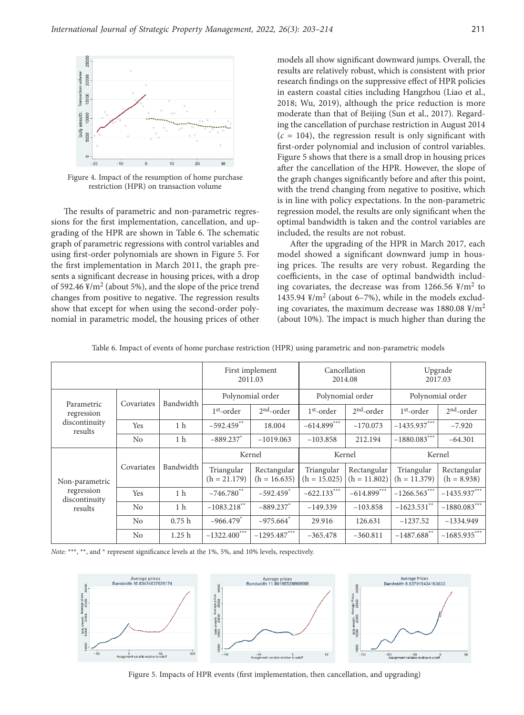

Figure 4. Impact of the resumption of home purchase restriction (HPR) on transaction volume

The results of parametric and non-parametric regressions for the first implementation, cancellation, and upgrading of the HPR are shown in Table 6. The schematic graph of parametric regressions with control variables and using first-order polynomials are shown in Figure 5. For the first implementation in March 2011, the graph presents a significant decrease in housing prices, with a drop of 592.46  $\frac{y}{m^2}$  (about 5%), and the slope of the price trend changes from positive to negative. The regression results show that except for when using the second-order polynomial in parametric model, the housing prices of other models all show significant downward jumps. Overall, the results are relatively robust, which is consistent with prior research findings on the suppressive effect of HPR policies in eastern coastal cities including Hangzhou (Liao et al., 2018; Wu, 2019), although the price reduction is more moderate than that of Beijing (Sun et al., 2017). Regarding the cancellation of purchase restriction in August 2014  $(c = 104)$ , the regression result is only significant with first-order polynomial and inclusion of control variables. Figure 5 shows that there is a small drop in housing prices after the cancellation of the HPR. However, the slope of the graph changes significantly before and after this point, with the trend changing from negative to positive, which is in line with policy expectations. In the non-parametric regression model, the results are only significant when the optimal bandwidth is taken and the control variables are included, the results are not robust.

After the upgrading of the HPR in March 2017, each model showed a significant downward jump in housing prices. The results are very robust. Regarding the coefficients, in the case of optimal bandwidth including covariates, the decrease was from 1266.56  $\frac{1}{2}$ /m<sup>2</sup> to 1435.94  $\frac{1}{2}$ /m<sup>2</sup> (about 6–7%), while in the models excluding covariates, the maximum decrease was  $1880.08 \frac{\text{y}}{\text{m}^2}$ (about 10%). The impact is much higher than during the

| Table 6. Impact of events of home purchase restriction (HPR) using parametric and non-parametric models |  |  |
|---------------------------------------------------------------------------------------------------------|--|--|
|                                                                                                         |  |  |

|                             |                         | First implement<br>2011.03 |                              | Cancellation<br>2014.08       |                              | Upgrade<br>2017.03            |                              |                              |
|-----------------------------|-------------------------|----------------------------|------------------------------|-------------------------------|------------------------------|-------------------------------|------------------------------|------------------------------|
|                             | Bandwidth<br>Covariates |                            | Polynomial order             |                               | Polynomial order             |                               | Polynomial order             |                              |
| Parametric<br>regression    |                         |                            | $1st$ -order                 | $2nd$ -order                  | $1st$ -order                 | $2nd$ -order                  | $1st$ -order                 | $2nd$ -order                 |
| discontinuity<br>results    | Yes                     | 1 <sub>h</sub>             | $-592.459$ **                | 18.004                        | $-614.899***$                | $-170.073$                    | $-1435.937***$               | $-7.920$                     |
|                             | No                      | 1 h                        | $-889.237$ *                 | $-1019.063$                   | $-103.858$                   | 212.194                       | $-1880.083***$               | $-64.301$                    |
|                             |                         |                            | Kernel                       |                               | Kernel                       |                               | Kernel                       |                              |
| Non-parametric              | Covariates              | Bandwidth                  | Triangular<br>$(h = 21.179)$ | Rectangular<br>$(h = 16.635)$ | Triangular<br>$(h = 15.025)$ | Rectangular<br>$(h = 11.802)$ | Triangular<br>$(h = 11.379)$ | Rectangular<br>$(h = 8.938)$ |
| regression<br>discontinuity | Yes                     | 1 <sub>h</sub>             | $-746.780$ **                | $-592.459$ <sup>*</sup>       | $-622.133***$                | $-614.899***$                 | $-1266.563***$               | $-1435.937***$               |
| results                     | No                      | 1 <sub>h</sub>             | $-1083.218***$               | $-889.237$ *                  | $-149.339$                   | $-103.858$                    | $-1623.531***$               | $-1880.083***$               |
|                             | No                      | 0.75h                      | $-966.479*$                  | $-975.664$ <sup>*</sup>       | 29.916                       | 126.631                       | $-1237.52$                   | $-1334.949$                  |
|                             | No                      | 1.25 <sub>h</sub>          | $-1322.400$ ***              | $-1295.487***$                | $-365.478$                   | $-360.811$                    | $-1487.688$ <sup>**</sup>    | $-1685.935***$               |



Figure 5. Impacts of HPR events (first implementation, then cancellation, and upgrading)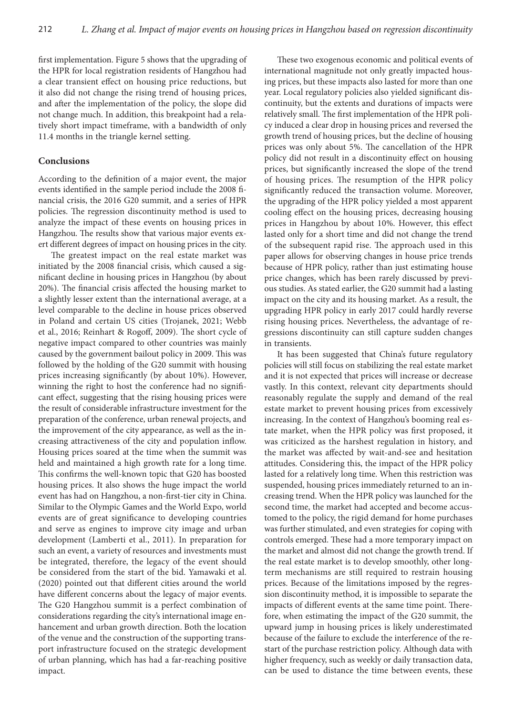first implementation. Figure 5 shows that the upgrading of the HPR for local registration residents of Hangzhou had a clear transient effect on housing price reductions, but it also did not change the rising trend of housing prices, and after the implementation of the policy, the slope did not change much. In addition, this breakpoint had a relatively short impact timeframe, with a bandwidth of only 11.4 months in the triangle kernel setting.

## **Conclusions**

According to the definition of a major event, the major events identified in the sample period include the 2008 financial crisis, the 2016 G20 summit, and a series of HPR policies. The regression discontinuity method is used to analyze the impact of these events on housing prices in Hangzhou. The results show that various major events exert different degrees of impact on housing prices in the city.

The greatest impact on the real estate market was initiated by the 2008 financial crisis, which caused a significant decline in housing prices in Hangzhou (by about 20%). The financial crisis affected the housing market to a slightly lesser extent than the international average, at a level comparable to the decline in house prices observed in Poland and certain US cities (Trojanek, 2021; Webb et al., 2016; Reinhart & Rogoff, 2009). The short cycle of negative impact compared to other countries was mainly caused by the government bailout policy in 2009. This was followed by the holding of the G20 summit with housing prices increasing significantly (by about 10%). However, winning the right to host the conference had no significant effect, suggesting that the rising housing prices were the result of considerable infrastructure investment for the preparation of the conference, urban renewal projects, and the improvement of the city appearance, as well as the increasing attractiveness of the city and population inflow. Housing prices soared at the time when the summit was held and maintained a high growth rate for a long time. This confirms the well-known topic that G20 has boosted housing prices. It also shows the huge impact the world event has had on Hangzhou, a non-first-tier city in China. Similar to the Olympic Games and the World Expo, world events are of great significance to developing countries and serve as engines to improve city image and urban development (Lamberti et al., 2011). In preparation for such an event, a variety of resources and investments must be integrated, therefore, the legacy of the event should be considered from the start of the bid. Yamawaki et al. (2020) pointed out that different cities around the world have different concerns about the legacy of major events. The G20 Hangzhou summit is a perfect combination of considerations regarding the city's international image enhancement and urban growth direction. Both the location of the venue and the construction of the supporting transport infrastructure focused on the strategic development of urban planning, which has had a far-reaching positive impact.

These two exogenous economic and political events of international magnitude not only greatly impacted housing prices, but these impacts also lasted for more than one year. Local regulatory policies also yielded significant discontinuity, but the extents and durations of impacts were relatively small. The first implementation of the HPR policy induced a clear drop in housing prices and reversed the growth trend of housing prices, but the decline of housing prices was only about 5%. The cancellation of the HPR policy did not result in a discontinuity effect on housing prices, but significantly increased the slope of the trend of housing prices. The resumption of the HPR policy significantly reduced the transaction volume. Moreover, the upgrading of the HPR policy yielded a most apparent cooling effect on the housing prices, decreasing housing prices in Hangzhou by about 10%. However, this effect lasted only for a short time and did not change the trend of the subsequent rapid rise. The approach used in this paper allows for observing changes in house price trends because of HPR policy, rather than just estimating house price changes, which has been rarely discussed by previous studies. As stated earlier, the G20 summit had a lasting impact on the city and its housing market. As a result, the upgrading HPR policy in early 2017 could hardly reverse rising housing prices. Nevertheless, the advantage of regressions discontinuity can still capture sudden changes in transients.

It has been suggested that China's future regulatory policies will still focus on stabilizing the real estate market and it is not expected that prices will increase or decrease vastly. In this context, relevant city departments should reasonably regulate the supply and demand of the real estate market to prevent housing prices from excessively increasing. In the context of Hangzhou's booming real estate market, when the HPR policy was first proposed, it was criticized as the harshest regulation in history, and the market was affected by wait-and-see and hesitation attitudes. Considering this, the impact of the HPR policy lasted for a relatively long time. When this restriction was suspended, housing prices immediately returned to an increasing trend. When the HPR policy was launched for the second time, the market had accepted and become accustomed to the policy, the rigid demand for home purchases was further stimulated, and even strategies for coping with controls emerged. These had a more temporary impact on the market and almost did not change the growth trend. If the real estate market is to develop smoothly, other longterm mechanisms are still required to restrain housing prices. Because of the limitations imposed by the regression discontinuity method, it is impossible to separate the impacts of different events at the same time point. Therefore, when estimating the impact of the G20 summit, the upward jump in housing prices is likely underestimated because of the failure to exclude the interference of the restart of the purchase restriction policy. Although data with higher frequency, such as weekly or daily transaction data, can be used to distance the time between events, these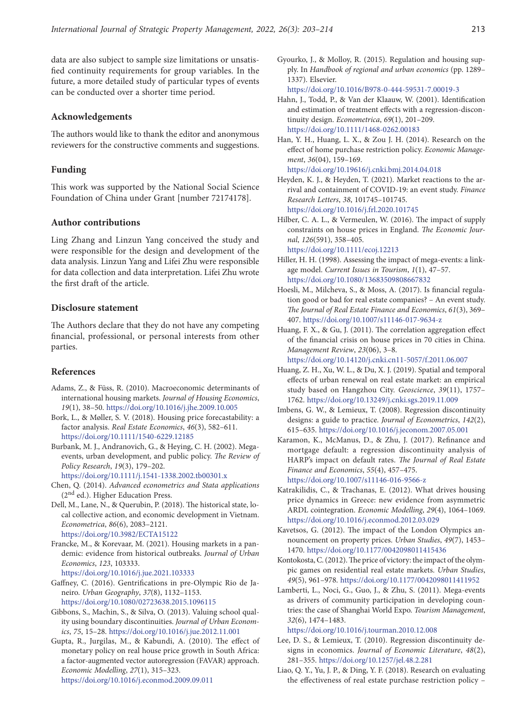data are also subject to sample size limitations or unsatisfied continuity requirements for group variables. In the future, a more detailed study of particular types of events can be conducted over a shorter time period.

# **Acknowledgements**

The authors would like to thank the editor and anonymous reviewers for the constructive comments and suggestions.

### **Funding**

This work was supported by the National Social Science Foundation of China under Grant [number 72174178].

## **Author contributions**

Ling Zhang and Linzun Yang conceived the study and were responsible for the design and development of the data analysis. Linzun Yang and Lifei Zhu were responsible for data collection and data interpretation. Lifei Zhu wrote the first draft of the article.

## **Disclosure statement**

The Authors declare that they do not have any competing financial, professional, or personal interests from other parties.

#### **References**

- Adams, Z., & Füss, R. (2010). Macroeconomic determinants of international housing markets. *Journal of Housing Economics*, *19*(1), 38–50. <https://doi.org/10.1016/j.jhe.2009.10.005>
- Bork, L., & Møller, S. V. (2018). Housing price forecastability: a factor analysis. *Real Estate Economics*, *46*(3), 582–611. <https://doi.org/10.1111/1540-6229.12185>
- Burbank, M. J., Andranovich, G., & Heying, C. H. (2002). Megaevents, urban development, and public policy. *The Review of Policy Research*, *19*(3), 179–202.

<https://doi.org/10.1111/j.1541-1338.2002.tb00301.x>

- Chen, Q. (2014). *Advanced econometrics and Stata applications* (2nd ed.). Higher Education Press.
- Dell, M., Lane, N., & Querubin, P. (2018). The historical state, local collective action, and economic development in Vietnam. *Econometrica*, *86*(6), 2083–2121. <https://doi.org/10.3982/ECTA15122>
- Francke, M., & Korevaar, M. (2021). Housing markets in a pandemic: evidence from historical outbreaks. *Journal of Urban Economics*, *123*, 103333.

<https://doi.org/10.1016/j.jue.2021.103333>

- Gaffney, C. (2016). Gentrifications in pre-Olympic Rio de Janeiro. *Urban Geography*, *37*(8), 1132–1153. <https://doi.org/10.1080/02723638.2015.1096115>
- Gibbons, S., Machin, S., & Silva, O. (2013). Valuing school quality using boundary discontinuities. *Journal of Urban Economics*, *75*, 15–28. <https://doi.org/10.1016/j.jue.2012.11.001>
- Gupta, R., Jurgilas, M., & Kabundi, A. (2010). The effect of monetary policy on real house price growth in South Africa: a factor-augmented vector autoregression (FAVAR) approach. *Economic Modelling*, *27*(1), 315–323. <https://doi.org/10.1016/j.econmod.2009.09.011>

Gyourko, J., & Molloy, R. (2015). Regulation and housing supply. In *Handbook of regional and urban economics* (pp. 1289– 1337). Elsevier.

https://doi.org/10.1016/B978-0-444-59531-7.00019-3

- Hahn, J., Todd, P., & Van der Klaauw, W. (2001). Identification and estimation of treatment effects with a regression-discontinuity design. *Econometrica*, *69*(1), 201–209. <https://doi.org/10.1111/1468-0262.00183>
- Han, Y. H., Huang, L. X., & Zou J. H. (2014). Research on the effect of home purchase restriction policy. *Economic Management*, *36*(04), 159–169.

<https://doi.org/10.19616/j.cnki.bmj.2014.04.018>

- Heyden, K. J., & Heyden, T. (2021). Market reactions to the arrival and containment of COVID-19: an event study. *Finance Research Letters*, *38*, 101745–101745. <https://doi.org/10.1016/j.frl.2020.101745>
- Hilber, C. A. L., & Vermeulen, W. (2016). The impact of supply constraints on house prices in England. *The Economic Journal*, *126*(591), 358–405. <https://doi.org/10.1111/ecoj.12213>
- Hiller, H. H. (1998). Assessing the impact of mega-events: a linkage model. *Current Issues in Tourism*, *1*(1), 47–57. [https://doi.org/10.1080/13683509808667832](https://doi.org/10.1080/13683509808667832 )
- Hoesli, M., Milcheva, S., & Moss, A. (2017). Is financial regulation good or bad for real estate companies? – An event study. *The Journal of Real Estate Finance and Economics*, *61*(3), 369– 407. <https://doi.org/10.1007/s11146-017-9634-z>
- Huang, F. X., & Gu, J. (2011). The correlation aggregation effect of the financial crisis on house prices in 70 cities in China. *Management Review*, *23*(06), 3–8.

<https://doi.org/10.14120/j.cnki.cn11-5057/f.2011.06.007>

- Huang, Z. H., Xu, W. L., & Du, X. J. (2019). Spatial and temporal effects of urban renewal on real estate market: an empirical study based on Hangzhou City. *Geoscience*, *39*(11), 1757– 1762. <https://doi.org/10.13249/j.cnki.sgs.2019.11.009>
- Imbens, G. W., & Lemieux, T. (2008). Regression discontinuity designs: a guide to practice. *Journal of Econometrics*, *142*(2), 615–635. <https://doi.org/10.1016/j.jeconom.2007.05.001>
- Karamon, K., McManus, D., & Zhu, J. (2017). Refinance and mortgage default: a regression discontinuity analysis of HARP's impact on default rates. *The Journal of Real Estate Finance and Economics*, *55*(4), 457–475. <https://doi.org/10.1007/s11146-016-9566-z>

Katrakilidis, C., & Trachanas, E. (2012). What drives housing price dynamics in Greece: new evidence from asymmetric ARDL cointegration. *Economic Modelling*, *29*(4), 1064–1069. <https://doi.org/10.1016/j.econmod.2012.03.029>

- Kavetsos, G. (2012). The impact of the London Olympics announcement on property prices. *Urban Studies*, *49*(7), 1453– 1470. <https://doi.org/10.1177/0042098011415436>
- Kontokosta, C. (2012). The price of victory: the impact of the olympic games on residential real estate markets. *Urban Studies*, *49*(5), 961–978. <https://doi.org/10.1177/0042098011411952>
- Lamberti, L., Noci, G., Guo, J., & Zhu, S. (2011). Mega-events as drivers of community participation in developing countries: the case of Shanghai World Expo. *Tourism Management*, *32*(6), 1474–1483.

<https://doi.org/10.1016/j.tourman.2010.12.008>

- Lee, D. S., & Lemieux, T. (2010). Regression discontinuity designs in economics. *Journal of Economic Literature*, *48*(2), 281–355. <https://doi.org/10.1257/jel.48.2.281>
- Liao, Q. Y., Yu, J. P., & Ding, Y. F. (2018). Research on evaluating the effectiveness of real estate purchase restriction policy –